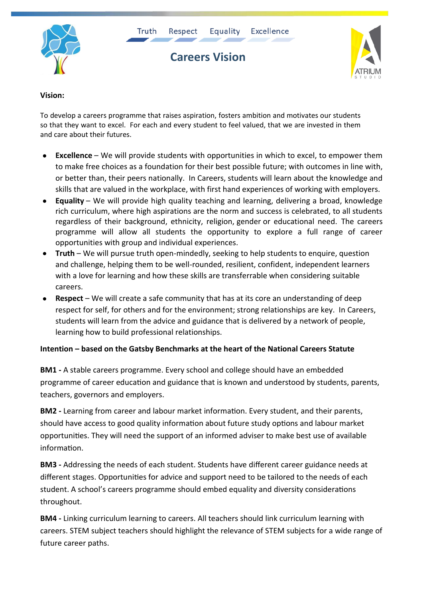







## **Vision:**

To develop a careers programme that raises aspiration, fosters ambition and motivates our students so that they want to excel. For each and every student to feel valued, that we are invested in them and care about their futures.

- **Excellence** We will provide students with opportunities in which to excel, to empower them to make free choices as a foundation for their best possible future; with outcomes in line with, or better than, their peers nationally. In Careers, students will learn about the knowledge and skills that are valued in the workplace, with first hand experiences of working with employers.
- **Equality** We will provide high quality teaching and learning, delivering a broad, knowledge rich curriculum, where high aspirations are the norm and success is celebrated, to all students regardless of their background, ethnicity, religion, gender or educational need. The careers programme will allow all students the opportunity to explore a full range of career opportunities with group and individual experiences.
- **Truth** We will pursue truth open-mindedly, seeking to help students to enquire, question and challenge, helping them to be well-rounded, resilient, confident, independent learners with a love for learning and how these skills are transferrable when considering suitable careers.
- **Respect** We will create a safe community that has at its core an understanding of deep respect for self, for others and for the environment; strong relationships are key. In Careers, students will learn from the advice and guidance that is delivered by a network of people, learning how to build professional relationships.

## **Intention – based on the Gatsby Benchmarks at the heart of the National Careers Statute**

**BM1 -** A stable careers programme. Every school and college should have an embedded programme of career education and guidance that is known and understood by students, parents, teachers, governors and employers.

**BM2 -** Learning from career and labour market information. Every student, and their parents, should have access to good quality information about future study options and labour market opportunities. They will need the support of an informed adviser to make best use of available information.

**BM3 -** Addressing the needs of each student. Students have different career guidance needs at different stages. Opportunities for advice and support need to be tailored to the needs of each student. A school's careers programme should embed equality and diversity considerations throughout.

**BM4 -** Linking curriculum learning to careers. All teachers should link curriculum learning with careers. STEM subject teachers should highlight the relevance of STEM subjects for a wide range of future career paths.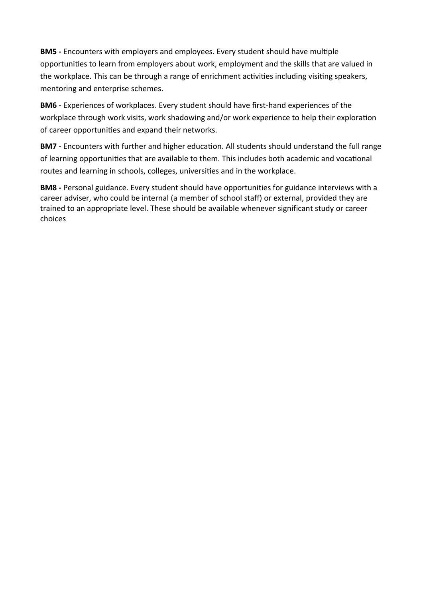**BM5 -** Encounters with employers and employees. Every student should have multiple opportunities to learn from employers about work, employment and the skills that are valued in the workplace. This can be through a range of enrichment activities including visiting speakers, mentoring and enterprise schemes.

**BM6 -** Experiences of workplaces. Every student should have first-hand experiences of the workplace through work visits, work shadowing and/or work experience to help their exploration of career opportunities and expand their networks.

**BM7 -** Encounters with further and higher education. All students should understand the full range of learning opportunities that are available to them. This includes both academic and vocational routes and learning in schools, colleges, universities and in the workplace.

**BM8 -** Personal guidance. Every student should have opportunities for guidance interviews with a career adviser, who could be internal (a member of school staff) or external, provided they are trained to an appropriate level. These should be available whenever significant study or career choices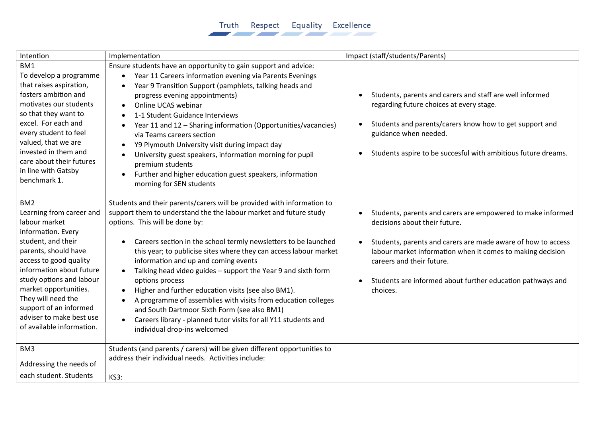## Truth Respect Equality Excellence

| Intention                                                                                                                                                                                                                                                                                                                                            | Implementation                                                                                                                                                                                                                                                                                                                                                                                                                                                                                                                                                                                                                                                                                                                            | Impact (staff/students/Parents)                                                                                                                                                                                                                                                                                                   |
|------------------------------------------------------------------------------------------------------------------------------------------------------------------------------------------------------------------------------------------------------------------------------------------------------------------------------------------------------|-------------------------------------------------------------------------------------------------------------------------------------------------------------------------------------------------------------------------------------------------------------------------------------------------------------------------------------------------------------------------------------------------------------------------------------------------------------------------------------------------------------------------------------------------------------------------------------------------------------------------------------------------------------------------------------------------------------------------------------------|-----------------------------------------------------------------------------------------------------------------------------------------------------------------------------------------------------------------------------------------------------------------------------------------------------------------------------------|
| BM1<br>To develop a programme<br>that raises aspiration,<br>fosters ambition and<br>motivates our students<br>so that they want to<br>excel. For each and<br>every student to feel<br>valued, that we are<br>invested in them and<br>care about their futures<br>in line with Gatsby<br>benchmark 1.                                                 | Ensure students have an opportunity to gain support and advice:<br>Year 11 Careers information evening via Parents Evenings<br>$\bullet$<br>Year 9 Transition Support (pamphlets, talking heads and<br>progress evening appointments)<br>Online UCAS webinar<br>$\bullet$<br>1-1 Student Guidance Interviews<br>Year 11 and 12 - Sharing information (Opportunities/vacancies)<br>via Teams careers section<br>Y9 Plymouth University visit during impact day<br>University guest speakers, information morning for pupil<br>$\bullet$<br>premium students<br>Further and higher education guest speakers, information<br>morning for SEN students                                                                                        | Students, parents and carers and staff are well informed<br>regarding future choices at every stage.<br>Students and parents/carers know how to get support and<br>guidance when needed.<br>Students aspire to be succesful with ambitious future dreams.                                                                         |
| BM <sub>2</sub><br>Learning from career and<br>labour market<br>information. Every<br>student, and their<br>parents, should have<br>access to good quality<br>information about future<br>study options and labour<br>market opportunities.<br>They will need the<br>support of an informed<br>adviser to make best use<br>of available information. | Students and their parents/carers will be provided with information to<br>support them to understand the the labour market and future study<br>options. This will be done by:<br>Careers section in the school termly newsletters to be launched<br>this year; to publicise sites where they can access labour market<br>information and up and coming events<br>Talking head video guides - support the Year 9 and sixth form<br>$\bullet$<br>options process<br>Higher and further education visits (see also BM1).<br>A programme of assemblies with visits from education colleges<br>and South Dartmoor Sixth Form (see also BM1)<br>Careers library - planned tutor visits for all Y11 students and<br>individual drop-ins welcomed | Students, parents and carers are empowered to make informed<br>decisions about their future.<br>Students, parents and carers are made aware of how to access<br>labour market information when it comes to making decision<br>careers and their future.<br>Students are informed about further education pathways and<br>choices. |
| BM3<br>Addressing the needs of<br>each student. Students                                                                                                                                                                                                                                                                                             | Students (and parents / carers) will be given different opportunities to<br>address their individual needs. Activities include:<br><b>KS3:</b>                                                                                                                                                                                                                                                                                                                                                                                                                                                                                                                                                                                            |                                                                                                                                                                                                                                                                                                                                   |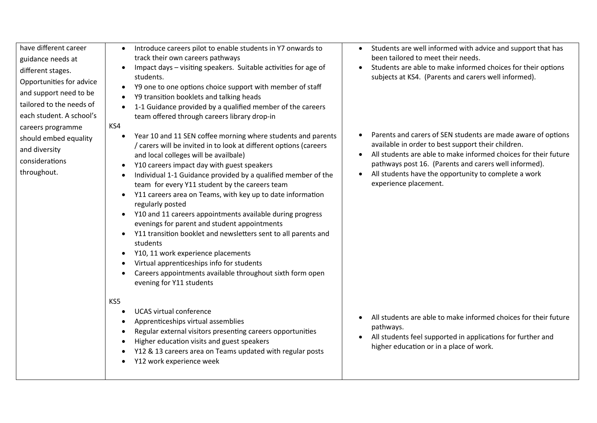| have different career<br>guidance needs at<br>different stages.<br>Opportunities for advice<br>and support need to be<br>tailored to the needs of<br>each student. A school's<br>careers programme<br>should embed equality<br>and diversity<br>considerations<br>throughout. | Introduce careers pilot to enable students in Y7 onwards to<br>$\bullet$<br>track their own careers pathways<br>Impact days - visiting speakers. Suitable activities for age of<br>$\bullet$<br>students.<br>Y9 one to one options choice support with member of staff<br>$\bullet$<br>Y9 transition booklets and talking heads<br>$\bullet$<br>1-1 Guidance provided by a qualified member of the careers<br>$\bullet$<br>team offered through careers library drop-in<br>KS4<br>Year 10 and 11 SEN coffee morning where students and parents<br>$\bullet$<br>/ carers will be invited in to look at different options (careers<br>and local colleges will be availbale)<br>Y10 careers impact day with guest speakers<br>$\bullet$<br>Individual 1-1 Guidance provided by a qualified member of the<br>$\bullet$<br>team for every Y11 student by the careers team<br>Y11 careers area on Teams, with key up to date information<br>$\bullet$<br>regularly posted<br>Y10 and 11 careers appointments available during progress<br>$\bullet$<br>evenings for parent and student appointments<br>Y11 transition booklet and newsletters sent to all parents and<br>$\bullet$<br>students<br>Y10, 11 work experience placements<br>$\bullet$<br>Virtual apprenticeships info for students<br>$\bullet$<br>Careers appointments available throughout sixth form open<br>$\bullet$<br>evening for Y11 students | Students are well informed with advice and support that has<br>$\bullet$<br>been tailored to meet their needs.<br>Students are able to make informed choices for their options<br>subjects at KS4. (Parents and carers well informed).<br>Parents and carers of SEN students are made aware of options<br>available in order to best support their children.<br>All students are able to make informed choices for their future<br>pathways post 16. (Parents and carers well informed).<br>All students have the opportunity to complete a work<br>$\bullet$<br>experience placement. |
|-------------------------------------------------------------------------------------------------------------------------------------------------------------------------------------------------------------------------------------------------------------------------------|-------------------------------------------------------------------------------------------------------------------------------------------------------------------------------------------------------------------------------------------------------------------------------------------------------------------------------------------------------------------------------------------------------------------------------------------------------------------------------------------------------------------------------------------------------------------------------------------------------------------------------------------------------------------------------------------------------------------------------------------------------------------------------------------------------------------------------------------------------------------------------------------------------------------------------------------------------------------------------------------------------------------------------------------------------------------------------------------------------------------------------------------------------------------------------------------------------------------------------------------------------------------------------------------------------------------------------------------------------------------------------------------------------------|----------------------------------------------------------------------------------------------------------------------------------------------------------------------------------------------------------------------------------------------------------------------------------------------------------------------------------------------------------------------------------------------------------------------------------------------------------------------------------------------------------------------------------------------------------------------------------------|
|                                                                                                                                                                                                                                                                               | KS5<br><b>UCAS virtual conference</b><br>$\bullet$<br>Apprenticeships virtual assemblies<br>$\bullet$<br>Regular external visitors presenting careers opportunities<br>$\bullet$<br>Higher education visits and guest speakers<br>$\bullet$<br>Y12 & 13 careers area on Teams updated with regular posts<br>$\bullet$<br>Y12 work experience week<br>$\bullet$                                                                                                                                                                                                                                                                                                                                                                                                                                                                                                                                                                                                                                                                                                                                                                                                                                                                                                                                                                                                                                              | All students are able to make informed choices for their future<br>pathways.<br>All students feel supported in applications for further and<br>higher education or in a place of work.                                                                                                                                                                                                                                                                                                                                                                                                 |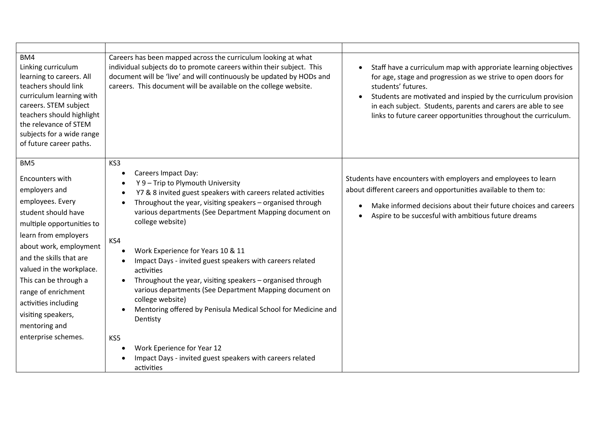| BM4<br>Linking curriculum<br>learning to careers. All<br>teachers should link<br>curriculum learning with<br>careers. STEM subject<br>teachers should highlight<br>the relevance of STEM<br>subjects for a wide range<br>of future career paths.                                                                                                                           | Careers has been mapped across the curriculum looking at what<br>individual subjects do to promote careers within their subject. This<br>document will be 'live' and will continuously be updated by HODs and<br>careers. This document will be available on the college website.                                                                                                                                                                                                                                                                                                                                                                                                                                                              | Staff have a curriculum map with approriate learning objectives<br>$\bullet$<br>for age, stage and progression as we strive to open doors for<br>students' futures.<br>Students are motivated and inspied by the curriculum provision<br>$\bullet$<br>in each subject. Students, parents and carers are able to see<br>links to future career opportunities throughout the curriculum. |
|----------------------------------------------------------------------------------------------------------------------------------------------------------------------------------------------------------------------------------------------------------------------------------------------------------------------------------------------------------------------------|------------------------------------------------------------------------------------------------------------------------------------------------------------------------------------------------------------------------------------------------------------------------------------------------------------------------------------------------------------------------------------------------------------------------------------------------------------------------------------------------------------------------------------------------------------------------------------------------------------------------------------------------------------------------------------------------------------------------------------------------|----------------------------------------------------------------------------------------------------------------------------------------------------------------------------------------------------------------------------------------------------------------------------------------------------------------------------------------------------------------------------------------|
| BM <sub>5</sub><br>Encounters with<br>employers and<br>employees. Every<br>student should have<br>multiple opportunities to<br>learn from employers<br>about work, employment<br>and the skills that are<br>valued in the workplace.<br>This can be through a<br>range of enrichment<br>activities including<br>visiting speakers,<br>mentoring and<br>enterprise schemes. | KS3<br>Careers Impact Day:<br>Y 9 - Trip to Plymouth University<br>Y7 & 8 invited guest speakers with careers related activities<br>Throughout the year, visiting speakers - organised through<br>various departments (See Department Mapping document on<br>college website)<br>KS4<br>Work Experience for Years 10 & 11<br>Impact Days - invited guest speakers with careers related<br>activities<br>Throughout the year, visiting speakers - organised through<br>various departments (See Department Mapping document on<br>college website)<br>Mentoring offered by Penisula Medical School for Medicine and<br>Dentisty<br>KS5<br>Work Eperience for Year 12<br>Impact Days - invited guest speakers with careers related<br>activities | Students have encounters with employers and employees to learn<br>about different careers and opportunities available to them to:<br>Make informed decisions about their future choices and careers<br>$\bullet$<br>Aspire to be succesful with ambitious future dreams                                                                                                                |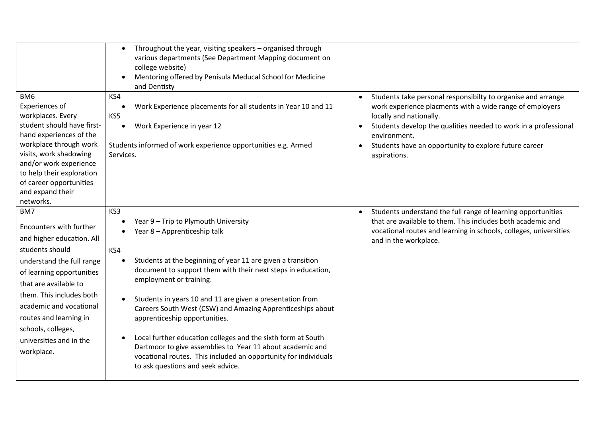|                                                                                                                                                                                                                                                                                                                   | Throughout the year, visiting speakers - organised through<br>$\bullet$<br>various departments (See Department Mapping document on<br>college website)<br>Mentoring offered by Penisula Meducal School for Medicine<br>and Dentisty                                                                                                                                                                                                                                                                                                                                                                                                                                     |                                                                                                                                                                                                                                                                                                                 |
|-------------------------------------------------------------------------------------------------------------------------------------------------------------------------------------------------------------------------------------------------------------------------------------------------------------------|-------------------------------------------------------------------------------------------------------------------------------------------------------------------------------------------------------------------------------------------------------------------------------------------------------------------------------------------------------------------------------------------------------------------------------------------------------------------------------------------------------------------------------------------------------------------------------------------------------------------------------------------------------------------------|-----------------------------------------------------------------------------------------------------------------------------------------------------------------------------------------------------------------------------------------------------------------------------------------------------------------|
| BM <sub>6</sub><br>Experiences of<br>workplaces. Every<br>student should have first-<br>hand experiences of the<br>workplace through work<br>visits, work shadowing<br>and/or work experience<br>to help their exploration<br>of career opportunities<br>and expand their<br>networks.                            | KS4<br>Work Experience placements for all students in Year 10 and 11<br>$\bullet$<br>KS5<br>Work Experience in year 12<br>$\bullet$<br>Students informed of work experience opportunities e.g. Armed<br>Services.                                                                                                                                                                                                                                                                                                                                                                                                                                                       | Students take personal responsibilty to organise and arrange<br>work experience placments with a wide range of employers<br>locally and nationally.<br>Students develop the qualities needed to work in a professional<br>environment.<br>Students have an opportunity to explore future career<br>aspirations. |
| BM7<br>Encounters with further<br>and higher education. All<br>students should<br>understand the full range<br>of learning opportunities<br>that are available to<br>them. This includes both<br>academic and vocational<br>routes and learning in<br>schools, colleges,<br>universities and in the<br>workplace. | KS3<br>Year 9 - Trip to Plymouth University<br>Year 8 - Apprenticeship talk<br>KS4<br>Students at the beginning of year 11 are given a transition<br>$\bullet$<br>document to support them with their next steps in education,<br>employment or training.<br>Students in years 10 and 11 are given a presentation from<br>$\bullet$<br>Careers South West (CSW) and Amazing Apprenticeships about<br>apprenticeship opportunities.<br>Local further education colleges and the sixth form at South<br>Dartmoor to give assemblies to Year 11 about academic and<br>vocational routes. This included an opportunity for individuals<br>to ask questions and seek advice. | Students understand the full range of learning opportunities<br>$\bullet$<br>that are available to them. This includes both academic and<br>vocational routes and learning in schools, colleges, universities<br>and in the workplace.                                                                          |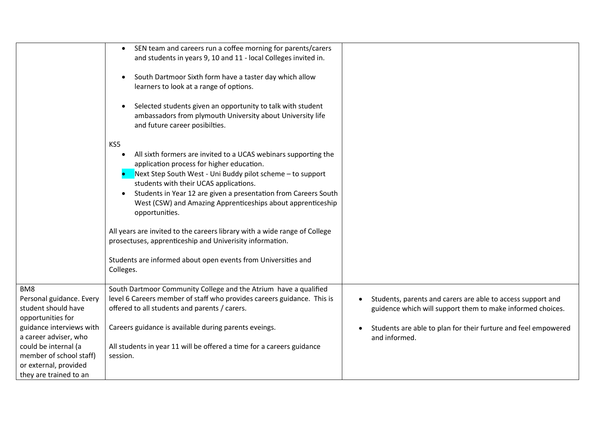|                                                 | SEN team and careers run a coffee morning for parents/carers<br>and students in years 9, 10 and 11 - local Colleges invited in.<br>South Dartmoor Sixth form have a taster day which allow<br>learners to look at a range of options.<br>Selected students given an opportunity to talk with student<br>ambassadors from plymouth University about University life<br>and future career posibilties.<br>KS5<br>All sixth formers are invited to a UCAS webinars supporting the<br>application process for higher education.<br>Next Step South West - Uni Buddy pilot scheme - to support<br>students with their UCAS applications.<br>Students in Year 12 are given a presentation from Careers South<br>$\bullet$<br>West (CSW) and Amazing Apprenticeships about apprenticeship<br>opportunities.<br>All years are invited to the careers library with a wide range of College<br>prosectuses, apprenticeship and Univerisity information.<br>Students are informed about open events from Universities and<br>Colleges. |                                                                                                                                        |
|-------------------------------------------------|-----------------------------------------------------------------------------------------------------------------------------------------------------------------------------------------------------------------------------------------------------------------------------------------------------------------------------------------------------------------------------------------------------------------------------------------------------------------------------------------------------------------------------------------------------------------------------------------------------------------------------------------------------------------------------------------------------------------------------------------------------------------------------------------------------------------------------------------------------------------------------------------------------------------------------------------------------------------------------------------------------------------------------|----------------------------------------------------------------------------------------------------------------------------------------|
| BM8                                             | South Dartmoor Community College and the Atrium have a qualified                                                                                                                                                                                                                                                                                                                                                                                                                                                                                                                                                                                                                                                                                                                                                                                                                                                                                                                                                            |                                                                                                                                        |
| Personal guidance. Every<br>student should have | level 6 Careers member of staff who provides careers guidance. This is<br>offered to all students and parents / carers.                                                                                                                                                                                                                                                                                                                                                                                                                                                                                                                                                                                                                                                                                                                                                                                                                                                                                                     | Students, parents and carers are able to access support and<br>$\bullet$<br>guidence which will support them to make informed choices. |
| opportunities for                               |                                                                                                                                                                                                                                                                                                                                                                                                                                                                                                                                                                                                                                                                                                                                                                                                                                                                                                                                                                                                                             |                                                                                                                                        |
| guidance interviews with                        | Careers guidance is available during parents eveings.                                                                                                                                                                                                                                                                                                                                                                                                                                                                                                                                                                                                                                                                                                                                                                                                                                                                                                                                                                       | Students are able to plan for their furture and feel empowered                                                                         |
| a career adviser, who                           |                                                                                                                                                                                                                                                                                                                                                                                                                                                                                                                                                                                                                                                                                                                                                                                                                                                                                                                                                                                                                             | and informed.                                                                                                                          |
| could be internal (a                            | All students in year 11 will be offered a time for a careers guidance                                                                                                                                                                                                                                                                                                                                                                                                                                                                                                                                                                                                                                                                                                                                                                                                                                                                                                                                                       |                                                                                                                                        |
| member of school staff)                         | session.                                                                                                                                                                                                                                                                                                                                                                                                                                                                                                                                                                                                                                                                                                                                                                                                                                                                                                                                                                                                                    |                                                                                                                                        |
| or external, provided                           |                                                                                                                                                                                                                                                                                                                                                                                                                                                                                                                                                                                                                                                                                                                                                                                                                                                                                                                                                                                                                             |                                                                                                                                        |
| they are trained to an                          |                                                                                                                                                                                                                                                                                                                                                                                                                                                                                                                                                                                                                                                                                                                                                                                                                                                                                                                                                                                                                             |                                                                                                                                        |